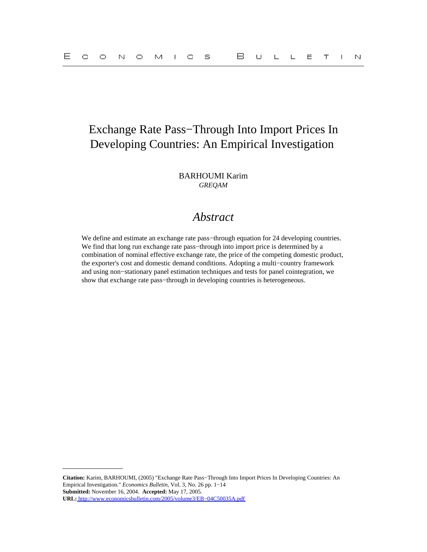# Exchange Rate Pass−Through Into Import Prices In Developing Countries: An Empirical Investigation

BARHOUMI Karim *GREQAM*

## *Abstract*

We define and estimate an exchange rate pass−through equation for 24 developing countries. We find that long run exchange rate pass−through into import price is determined by a combination of nominal effective exchange rate, the price of the competing domestic product, the exporter's cost and domestic demand conditions. Adopting a multi−country framework and using non−stationary panel estimation techniques and tests for panel cointegration, we show that exchange rate pass-through in developing countries is heterogeneous.

**Citation:** Karim, BARHOUMI, (2005) "Exchange Rate Pass−Through Into Import Prices In Developing Countries: An Empirical Investigation." *Economics Bulletin,* Vol. 3, No. 26 pp. 1−14 **Submitted:** November 16, 2004. **Accepted:** May 17, 2005. **URL:** [http://www.economicsbulletin.com/2005/volume3/EB−04C50035A.pdf](http://www.economicsbulletin.com/2005/volume3/EB-04C50035A.pdf)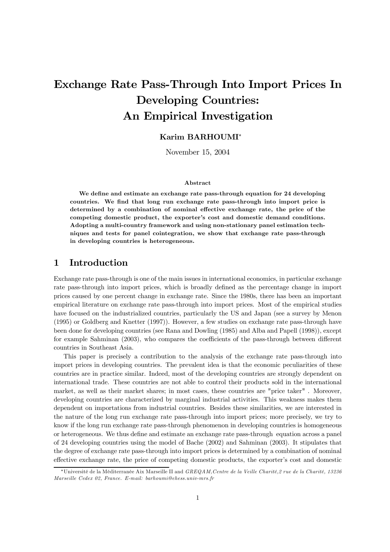# Exchange Rate Pass-Through Into Import Prices In **Developing Countries:** An Empirical Investigation

## Karim BARHOUMI\*

November 15, 2004

### A hstract

We define and estimate an exchange rate pass-through equation for 24 developing countries. We find that long run exchange rate pass-through into import price is determined by a combination of nominal effective exchange rate, the price of the competing domestic product, the exporter's cost and domestic demand conditions. Adopting a multi-country framework and using non-stationary panel estimation techniques and tests for panel cointegration, we show that exchange rate pass-through in developing countries is heterogeneous.

#### $\mathbf 1$ Introduction

Exchange rate pass-through is one of the main issues in international economics, in particular exchange rate pass-through into import prices, which is broadly defined as the percentage change in import prices caused by one percent change in exchange rate. Since the 1980s, there has been an important empirical literature on exchange rate pass-through into import prices. Most of the empirical studies have focused on the industrialized countries, particularly the US and Japan (see a survey by Menon  $(1995)$  or Goldberg and Knetter  $(1997)$ ). However, a few studies on exchange rate pass-through have been done for developing countries (see Rana and Dowling (1985) and Alba and Papell (1998)), except for example Sahminan (2003), who compares the coefficients of the pass-through between different countries in Southeast Asia.

This paper is precisely a contribution to the analysis of the exchange rate pass-through into import prices in developing countries. The prevalent idea is that the economic peculiarities of these countries are in practice similar. Indeed, most of the developing countries are strongly dependent on international trade. These countries are not able to control their products sold in the international market, as well as their market shares; in most cases, these countries are "price taker". Moreover, developing countries are characterized by marginal industrial activities. This weakness makes them dependent on importations from industrial countries. Besides these similarities, we are interested in the nature of the long run exchange rate pass-through into import prices; more precisely, we try to know if the long run exchange rate pass-through phenomenon in developing countries is homogeneous or heterogeneous. We thus define and estimate an exchange rate pass-through equation across a panel of 24 developing countries using the model of Bache (2002) and Sahminan (2003). It stipulates that the degree of exchange rate pass-through into import prices is determined by a combination of nominal effective exchange rate, the price of competing domestic products, the exporter's cost and domestic

<sup>\*</sup>Université de la Méditerranée Aix Marseille II and GREQAM, Centre de la Veille Charité, 2 rue de la Charité, 13236 Marseille Cedex 02, France. E-mail: barhoumi@ehess.univ-mrs.fr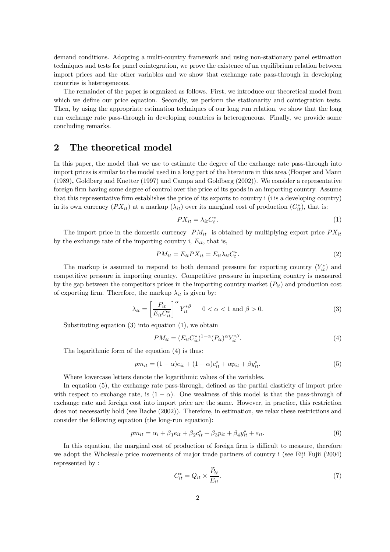demand conditions. Adopting a multi-country framework and using non-stationary panel estimation techniques and tests for panel cointegration, we prove the existence of an equilibrium relation between import prices and the other variables and we show that exchange rate pass-through in developing countries is heterogeneous.

The remainder of the paper is organized as follows. First, we introduce our theoretical model from which we define our price equation. Secondly, we perform the stationarity and cointegration tests. Then, by using the appropriate estimation techniques of our long run relation, we show that the long run exchange rate pass-through in developing countries is heterogeneous. Finally, we provide some concluding remarks.

#### $\overline{2}$ The theoretical model

In this paper, the model that we use to estimate the degree of the exchange rate pass-through into import prices is similar to the model used in a long part of the literature in this area (Hooper and Mann  $(1989)$ , Goldberg and Knetter (1997) and Campa and Goldberg (2002)). We consider a representative foreign firm having some degree of control over the price of its goods in an importing country. Assume that this representative firm establishes the price of its exports to country i (i is a developing country) in its own currency  $(PX_{it})$  at a markup  $(\lambda_{it})$  over its marginal cost of production  $(C_{it}^*)$ , that is:

$$
PX_{it} = \lambda_{it} C_t^*.
$$
\n<sup>(1)</sup>

The import price in the domestic currency  $PM_{it}$  is obtained by multiplying export price  $PX_{it}$ by the exchange rate of the importing country i,  $E_{it}$ , that is,

$$
PM_{it} = E_{it}PX_{it} = E_{it}\lambda_{it}C_t^*.
$$
\n
$$
(2)
$$

The markup is assumed to respond to both demand pressure for exporting country  $(Y_{it}^*)$  and competitive pressure in importing country. Competitive pressure in importing country is measured by the gap between the competitors prices in the importing country market  $(P_{it})$  and production cost of exporting firm. Therefore, the markup  $\lambda_{it}$  is given by:

$$
\lambda_{it} = \left[\frac{P_{it}}{E_{it} C_{it}^*}\right]^\alpha Y_{it}^{*\beta} \qquad 0 < \alpha < 1 \text{ and } \beta > 0. \tag{3}
$$

Substituting equation  $(3)$  into equation  $(1)$ , we obtain

$$
PM_{it} = (E_{it} C_{it}^*)^{1-\alpha} (P_{it})^{\alpha} Y_{it}^{*\beta}.
$$
\n(4)

The logarithmic form of the equation  $(4)$  is thus:

$$
pm_{it} = (1 - \alpha)e_{it} + (1 - \alpha)c_{it}^* + \alpha p_{it} + \beta y_{it}^*.
$$
\n(5)

Where lowercase letters denote the logarithmic values of the variables.

In equation (5), the exchange rate pass-through, defined as the partial elasticity of import price with respect to exchange rate, is  $(1 - \alpha)$ . One weakness of this model is that the pass-through of exchange rate and foreign cost into import price are the same. However, in practice, this restriction does not necessarily hold (see Bache  $(2002)$ ). Therefore, in estimation, we relax these restrictions and consider the following equation (the long-run equation):

$$
pm_{it} = \alpha_i + \beta_1 e_{it} + \beta_2 c_{it}^* + \beta_3 p_{it} + \beta_4 y_{it}^* + \varepsilon_{it}.
$$
\n(6)

In this equation, the marginal cost of production of foreign firm is difficult to measure, therefore we adopt the Wholesale price movements of major trade partners of country i (see Eiji Fujii (2004) represented by:

$$
C_{it}^* = Q_{it} \times \frac{\tilde{P}_{it}}{E_{it}}.\tag{7}
$$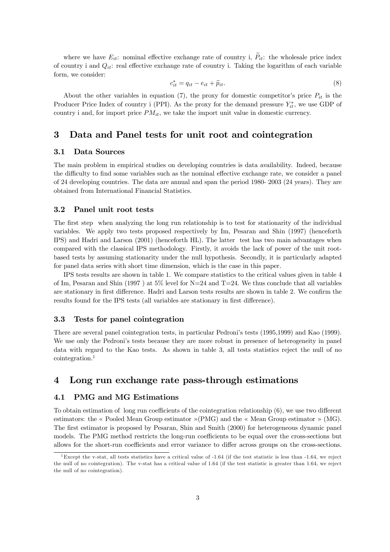where we have  $E_{it}$ : nominal effective exchange rate of country i,  $\tilde{P}_{it}$ : the wholesale price index of country i and  $Q_{it}$ : real effective exchange rate of country i. Taking the logarithm of each variable form, we consider:

$$
c_{it}^* = q_{it} - e_{it} + \widetilde{p}_{it}.\tag{8}
$$

About the other variables in equation (7), the proxy for domestic competitor's price  $P_{it}$  is the Producer Price Index of country i (PPI). As the proxy for the demand pressure  $Y_{it}^*$ , we use GDP of country i and, for import price  $PM_{it}$ , we take the import unit value in domestic currency.

#### 3 Data and Panel tests for unit root and cointegration

#### Data Sources  $3.1$

The main problem in empirical studies on developing countries is data availability. Indeed, because the difficulty to find some variables such as the nominal effective exchange rate, we consider a panel of 24 developing countries. The data are annual and span the period 1980-2003 (24 years). They are obtained from International Financial Statistics.

#### 3.2 Panel unit root tests

The first step when analyzing the long run relationship is to test for stationarity of the individual variables. We apply two tests proposed respectively by Im, Pesaran and Shin (1997) (henceforth IPS) and Hadri and Larson (2001) (henceforth HL). The latter test has two main advantages when compared with the classical IPS methodology. Firstly, it avoids the lack of power of the unit rootbased tests by assuming stationarity under the null hypothesis. Secondly, it is particularly adapted for panel data series with short time dimension, which is the case in this paper.

IPS tests results are shown in table 1. We compare statistics to the critical values given in table 4 of Im, Pesaran and Shin (1997) at 5% level for N=24 and T=24. We thus conclude that all variables are stationary in first difference. Hadri and Larson tests results are shown in table 2. We confirm the results found for the IPS tests (all variables are stationary in first difference).

#### $3.3$ Tests for panel cointegration

There are several panel cointegration tests, in particular Pedroni's tests (1995, 1999) and Kao (1999). We use only the Pedroni's tests because they are more robust in presence of heterogeneity in panel data with regard to the Kao tests. As shown in table 3, all tests statistics reject the null of no  $\rm cointegration.<sup>1</sup>$ 

#### Long run exchange rate pass-through estimations  $\boldsymbol{4}$

#### $4.1$ **PMG** and MG Estimations

To obtain estimation of long run coefficients of the cointegration relationship  $(6)$ , we use two different estimators: the « Pooled Mean Group estimator »(PMG) and the « Mean Group estimator » (MG). The first estimator is proposed by Pesaran, Shin and Smith (2000) for heterogeneous dynamic panel models. The PMG method restricts the long-run coefficients to be equal over the cross-sections but allows for the short-run coefficients and error variance to differ across groups on the cross-sections.

<sup>&</sup>lt;sup>1</sup>Except the v-stat, all tests statistics have a critical value of -1.64 (if the test statistic is less than -1.64, we reject the null of no cointegration). The v-stat has a critical value of 1.64 (if the test statistic is greater than 1.64, we reject the null of no cointegration).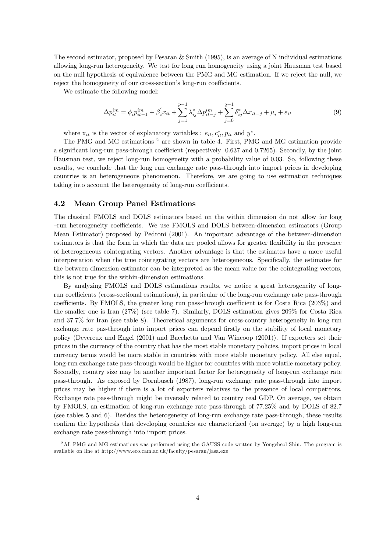The second estimator, proposed by Pesaran & Smith  $(1995)$ , is an average of N individual estimations allowing long-run heterogeneity. We test for long run homogeneity using a joint Hausman test based on the null hypothesis of equivalence between the PMG and MG estimation. If we reject the null, we reject the homogeneity of our cross-section's long-run coefficients.

We estimate the following model:

$$
\Delta p_{it}^{im} = \phi_i p_{it-1}^{im} + \beta_i' x_{it} + \sum_{j=1}^{p-1} \lambda_{ij}^* \Delta p_{it-j}^{im} + \sum_{j=0}^{q-1} \delta_{ij}^* \Delta x_{it-j} + \mu_i + \varepsilon_{it}
$$
(9)

where  $x_{it}$  is the vector of explanatory variables :  $e_{it}, c_{it}^*, p_{it}$  and  $y^*$ .

The PMG and MG estimations<sup>2</sup> are shown in table 4. First, PMG and MG estimation provide a significant long-run pass-through coefficient (respectively 0.637 and 0.7265). Secondly, by the joint Hausman test, we reject long-run homogeneity with a probability value of 0.03. So, following these results, we conclude that the long run exchange rate pass-through into import prices in developing countries is an heterogeneous phenomenon. Therefore, we are going to use estimation techniques taking into account the heterogeneity of long-run coefficients.

#### $4.2$ **Mean Group Panel Estimations**

The classical FMOLS and DOLS estimators based on the within dimension do not allow for long -run heterogeneity coefficients. We use FMOLS and DOLS between-dimension estimators (Group Mean Estimator) proposed by Pedroni (2001). An important advantage of the between-dimension estimators is that the form in which the data are pooled allows for greater flexibility in the presence of heterogeneous cointegrating vectors. Another advantage is that the estimates have a more useful interpretation when the true cointegrating vectors are heterogeneous. Specifically, the estimates for the between dimension estimator can be interpreted as the mean value for the cointegrating vectors, this is not true for the within-dimension estimations.

By analyzing FMOLS and DOLS estimations results, we notice a great heterogeneity of longrun coefficients (cross-sectional estimations), in particular of the long-run exchange rate pass-through coefficients. By FMOLS, the greater long run pass-through coefficient is for Costa Rica (203%) and the smaller one is Iran  $(27\%)$  (see table 7). Similarly, DOLS estimation gives 209% for Costa Rica and  $37.7\%$  for Iran (see table 8). Theoretical arguments for cross-country heterogeneity in long run exchange rate pas-through into import prices can depend firstly on the stability of local monetary policy (Devereux and Engel (2001) and Bacchetta and Van Wincoop (2001)). If exporters set their prices in the currency of the country that has the most stable monetary policies, import prices in local currency terms would be more stable in countries with more stable monetary policy. All else equal, long-run exchange rate pass-through would be higher for countries with more volatile monetary policy. Secondly, country size may be another important factor for heterogeneity of long-run exchange rate pass-through. As exposed by Dornbusch (1987), long-run exchange rate pass-through into import prices may be higher if there is a lot of exporters relatives to the presence of local competitors. Exchange rate pass-through might be inversely related to country real GDP. On average, we obtain by FMOLS, an estimation of long-run exchange rate pass-through of 77.25% and by DOLS of 82.7 (see tables 5 and 6). Besides the heterogeneity of long-run exchange rate pass-through, these results confirm the hypothesis that developing countries are characterized (on average) by a high long-run exchange rate pass-through into import prices.

<sup>&</sup>lt;sup>2</sup>All PMG and MG estimations was performed using the GAUSS code written by Yongcheol Shin. The program is available on line at http://www.eco.cam.ac.uk/faculty/pesaran/jasa.exe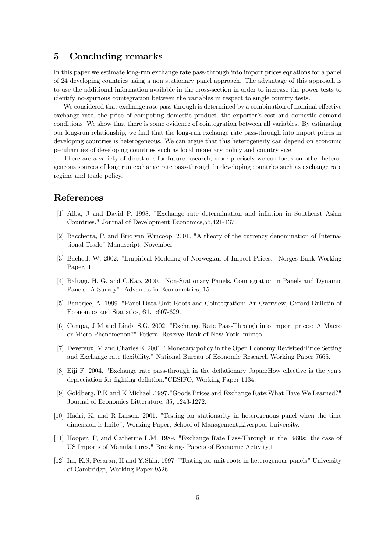#### $\bf{5}$ Concluding remarks

In this paper we estimate long-run exchange rate pass-through into import prices equations for a panel of 24 developing countries using a non stationary panel approach. The advantage of this approach is to use the additional information available in the cross-section in order to increase the power tests to identify no-spurious cointegration between the variables in respect to single country tests.

We considered that exchange rate pass-through is determined by a combination of nominal effective exchange rate, the price of competing domestic product, the exporter's cost and domestic demand conditions We show that there is some evidence of cointegration between all variables. By estimating our long-run relationship, we find that the long-run exchange rate pass-through into import prices in developing countries is heterogeneous. We can argue that this heterogeneity can depend on economic peculiarities of developing countries such as local monetary policy and country size.

There are a variety of directions for future research, more precisely we can focus on other heterogeneous sources of long run exchange rate pass-through in developing countries such as exchange rate regime and trade policy.

## References

- [1] Alba, J and David P. 1998. "Exchange rate determination and inflation in Southeast Asian Countries." Journal of Development Economics, 55, 421-437.
- [2] Bacchetta, P. and Eric van Wincoop. 2001. "A theory of the currency denomination of International Trade" Manuscript, November
- [3] Bache, I. W. 2002. "Empirical Modeling of Norwegian of Import Prices. "Norges Bank Working Paper, 1.
- [4] Baltagi, H. G. and C.Kao. 2000. "Non-Stationary Panels, Cointegration in Panels and Dynamic Panels: A Survey", Advances in Econometrics, 15.
- [5] Banerjee, A. 1999. "Panel Data Unit Roots and Cointegration: An Overview, Oxford Bulletin of Economics and Statistics, 61, p607-629.
- [6] Campa, J M and Linda S.G. 2002. "Exchange Rate Pass-Through into import prices: A Macro or Micro Phenomenon?" Federal Reserve Bank of New York, mimeo.
- [7] Devereux, M and Charles E. 2001. "Monetary policy in the Open Economy Revisited: Price Setting and Exchange rate flexibility." National Bureau of Economic Research Working Paper 7665.
- [8] Eiji F. 2004. "Exchange rate pass-through in the deflationary Japan: How effective is the yen's depreciation for fighting deflation."CESIFO, Working Paper 1134.
- [9] Goldberg, P.K and K Michael .1997." Goods Prices and Exchange Rate: What Have We Learned?" Journal of Economics Litterature, 35, 1243-1272.
- [10] Hadri, K. and R. Larson. 2001. "Testing for stationarity in heterogenous panel when the time dimension is finite", Working Paper, School of Management, Liverpool University.
- [11] Hooper, P, and Catherine L.M. 1989. "Exchange Rate Pass-Through in the 1980s: the case of US Imports of Manufactures." Brookings Papers of Economic Activity, 1.
- [12] Im, K.S. Pesaran, H and Y.Shin. 1997. "Testing for unit roots in heterogenous panels" University of Cambridge, Working Paper 9526.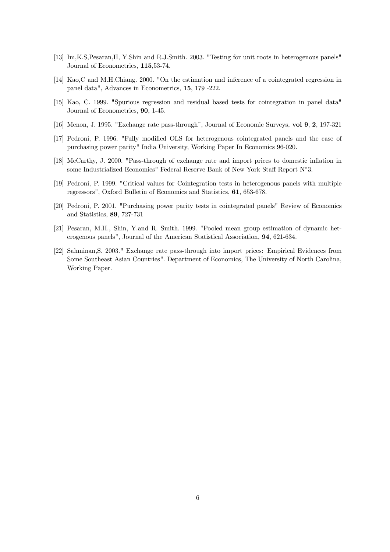- [13] Im, K.S., Pesaran, H, Y.Shin and R.J.Smith. 2003. "Testing for unit roots in heterogenous panels" Journal of Econometrics, 115,53-74.
- [14] Kao,C and M.H.Chiang. 2000. "On the estimation and inference of a cointegrated regression in panel data", Advances in Econometrics, 15, 179 -222.
- [15] Kao, C. 1999. "Spurious regression and residual based tests for cointegration in panel data" Journal of Econometrics, 90, 1-45.
- [16] Menon, J. 1995. "Exchange rate pass-through", Journal of Economic Surveys, vol 9, 2, 197-321
- [17] Pedroni, P. 1996. "Fully modified OLS for heterogenous cointegrated panels and the case of purchasing power parity" India University, Working Paper In Economics 96-020.
- [18] McCarthy, J. 2000. "Pass-through of exchange rate and import prices to domestic inflation in some Industrialized Economies" Federal Reserve Bank of New York Staff Report N°3.
- [19] Pedroni, P. 1999. "Critical values for Cointegration tests in heterogenous panels with multiple regressors", Oxford Bulletin of Economics and Statistics, 61, 653-678.
- [20] Pedroni, P. 2001. "Purchasing power parity tests in cointegrated panels" Review of Economics and Statistics, 89, 727-731
- [21] Pesaran, M.H., Shin, Y.and R. Smith. 1999. "Pooled mean group estimation of dynamic heterogenous panels", Journal of the American Statistical Association, 94, 621-634.
- [22] Sahminan, S. 2003." Exchange rate pass-through into import prices: Empirical Evidences from Some Southeast Asian Countries". Department of Economics, The University of North Carolina, Working Paper.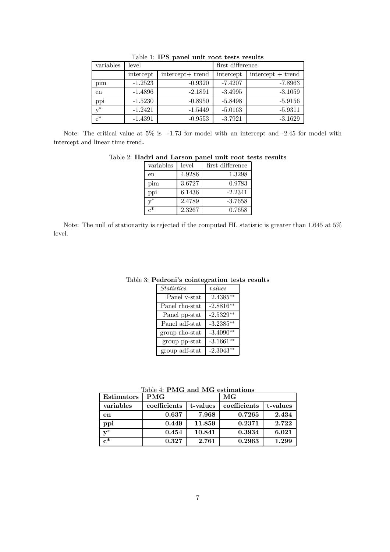| variables | level     |                  | first difference |                     |
|-----------|-----------|------------------|------------------|---------------------|
|           | intercept | intercept+ trend | intercept        | $intercept + trend$ |
| pim       | $-1.2523$ | $-0.9320$        | $-7.4207$        | $-7.8963$           |
| en        | $-1.4896$ | $-2.1891$        | $-3.4995$        | $-3.1059$           |
| ppi       | $-1.5230$ | $-0.8950$        | $-5.8498$        | $-5.9156$           |
| $v^*$     | $-1.2421$ | $-1.5449$        | $-5.0163$        | $-5.9311$           |
| $c^*$     | $-1.4391$ | $-0.9553$        | $-3.7921$        | $-3.1629$           |

Table 1: IPS panel unit root tests results

Note: The critical value at  $5\%$  is -1.73 for model with an intercept and -2.45 for model with intercept and linear time trend.

| variables            | level  | first difference |
|----------------------|--------|------------------|
| en                   | 4.9286 | 1.3298           |
| $\operatorname{pim}$ | 3.6727 | 0.9783           |
| ppi                  | 6.1436 | $-2.2341$        |
| $\mathbf{v}^*$       | 2.4789 | $-3.7658$        |
| $\mathsf{r}^*$       | 2.3267 | 0.7658           |

| Table 2: Hadri and Larson panel unit root tests results |  |  |  |  |
|---------------------------------------------------------|--|--|--|--|
|                                                         |  |  |  |  |

Note: The null of stationarity is rejected if the computed HL statistic is greater than 1.645 at 5% level.

| <i>Statistics</i> | values      |
|-------------------|-------------|
| Panel v-stat      | $2.4385**$  |
| Panel rho-stat    | $-2.8816**$ |
| Panel pp-stat     | $-2.5329**$ |
| Panel adf-stat    | $-3.2385**$ |
| group rho-stat    | $-3.4090**$ |
| group pp-stat     | $-3.1661**$ |
| group adf-stat    | $-2.3043**$ |

Table 3: Pedroni's cointegration tests results

|  |  | Table 4: $PMG$ and $MG$ estimations |  |
|--|--|-------------------------------------|--|
|  |  |                                     |  |

 $\overline{1}$ 

| Estimators     | <b>PMG</b>   |          | МG           |          |
|----------------|--------------|----------|--------------|----------|
| variables      | coefficients | t-values | coefficients | t-values |
| en             | 0.637        | 7.968    | 0.7265       | 2.434    |
| ppi            | 0.449        | 11.859   | 0.2371       | 2.722    |
| $v^*$          | 0.454        | 10.841   | 0.3934       | 6.021    |
| $\mathbf{r}^*$ | 0.327        | 2.761    | 0.2963       | 1.299    |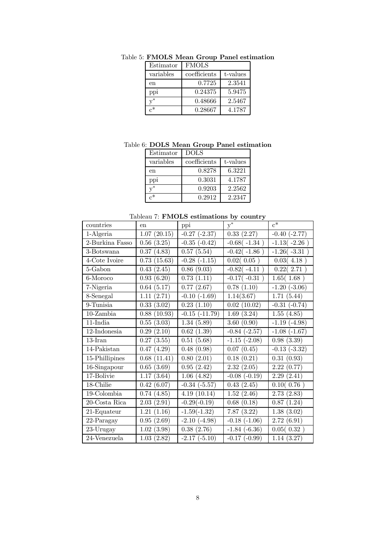| Estimator      | <b>FMOLS</b> |          |
|----------------|--------------|----------|
| variables      | coefficients | t-values |
| en             | 0.7725       | 2.3541   |
| ppi            | 0.24375      | 5.9475   |
| $\mathrm{v}^*$ | 0.48666      | 2.5467   |
| ∼∗             | 0.28667      | 4.1787   |

Table 5: FMOLS Mean Group Panel estimation

Table 6: DOLS Mean Group Panel estimation

| Estimator        | <b>DOLS</b>  |          |
|------------------|--------------|----------|
| variables        | coefficients | t-values |
| en               | 0.8278       | 6.3221   |
| pp <sub>1</sub>  | 0.3031       | 4.1787   |
| $\mathbf{r}^*$   | 0.9203       | 2.2562   |
| $\mathfrak{g}^*$ | 0.2912       | 2.2347   |

Tableau 7: FMOLS estimations by country

| countries        | en              | ${\rm ppi}$        | $y^*$             | $c^*$             |
|------------------|-----------------|--------------------|-------------------|-------------------|
| 1-Algeria        | (20.15)<br>1.07 | $-0.27$ $(-2.37)$  | 0.33(2.27)        | $-0.40$ $(-2.77)$ |
| 2-Burkina Fasso  | (3.25)<br>0.56  | $-0.35$ $(-0.42)$  | $-0.68(-1.34)$    | $-1.13(-2.26)$    |
| 3-Botswana       | 0.37<br>(4.83)  | 0.57(5.54)         | $-0.42(-1.86)$    | $-1.26(-3.31)$    |
| 4-Cote Ivoire    | (15.63)<br>0.73 | $-0.28$ $(-1.15)$  | 0.02(0.05)        | 0.03(4.18)        |
| 5-Gabon          | (2.45)<br>0.43  | 0.86(9.03)         | $-0.82(-4.11)$    | 0.22(2.71)        |
| 6-Moroco         | 0.93<br>(6.20)  | (1.11)<br>0.73     | $-0.17(-0.31)$    | 1.65(1.68)        |
| 7-Nigeria        | 0.64<br>(5.17)  | (2.67)<br>0.77     | 0.78(1.10)        | $-1.20$ $(-3.06)$ |
| 8-Senegal        | 1.11<br>(2.71)  | $-0.10$ $(-1.69)$  | 1.14(3.67)        | 1.71(5.44)        |
| 9-Tunisia        | (3.02)<br>0.33  | 0.23(1.10)         | 0.02(10.02)       | $-0.31$ $(-0.74)$ |
| $10$ -Zambia     | 0.88<br>(10.93) | $-0.15$ $(-11.79)$ | 1.69(3.24)        | 1.55(4.85)        |
| $11$ -India      | (3.03)<br>0.55  | 1.34(5.89)         | 3.60(0.90)        | $-1.19(-4.98)$    |
| $12$ -Indonesia  | 0.29<br>(2.10)  | 0.62(1.39)         | $-0.84$ $(-2.57)$ | $-1.08$ $(-1.67)$ |
| $13$ -Iran       | 0.27<br>(3.55)  | 0.51<br>(5.68)     | $-1.15$ $(-2.08)$ | 0.98(3.39)        |
| 14-Pakistan      | 0.47<br>(4.29)  | 0.48<br>(0.98)     | 0.07(0.45)        | $-0.13$ $(-3.32)$ |
| 15-Phillipines   | (11.41)<br>0.68 | 0.80<br>(2.01)     | 0.18(0.21)        | 0.31(0.93)        |
| 16-Singapour     | (3.69)<br>0.65  | 0.95(2.42)         | 2.32(2.05)        | 2.22(0.77)        |
| 17-Bolivie       | (3.64)<br>1.17  | 1.06(4.82)         | $-0.08$ $(-0.19)$ | 2.29(2.41)        |
| 18-Chilie        | 0.42(6.07)      | $-0.34$ $(-5.57)$  | 0.43(2.45)        | 0.10(0.76)        |
| 19-Colombia      | 0.74(4.85)      | 4.19(10.14)        | 1.52<br>(2.46)    | (2.83)<br>2.73    |
| $20$ -Costa Rica | 2.03<br>(2.91)  | $-0.29(-0.19)$     | 0.68(0.18)        | (1.24)<br>0.87    |
| 21-Equateur      | 1.21<br>(1.16)  | $-1.59(-1.32)$     | 7.87(3.22)        | 1.38(3.02)        |
| 22-Paragay       | (2.69)<br>0.95  | $-2.10(-4.98)$     | $-0.18$ $(-1.06)$ | 2.72(6.91)        |
| 23-Urugay        | (3.98)<br>1.02  | 0.38(2.76)         | $-1.84$ $(-6.36)$ | 0.05(0.32)        |
| 24-Venezuela     | 1.03(2.82)      | $-2.17(-5.10)$     | $-0.17(-0.99)$    | 1.14(3.27)        |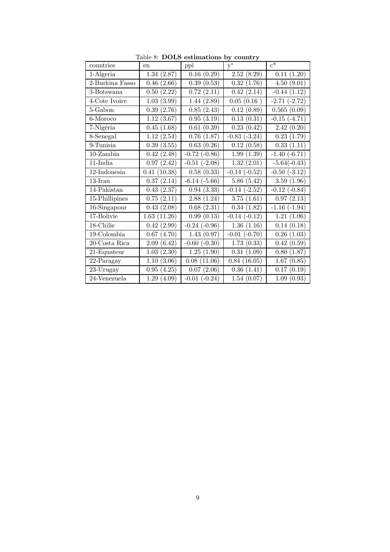| countries       | en              | ${\rm ppi}$          | $y^*$                | $c^*$             |
|-----------------|-----------------|----------------------|----------------------|-------------------|
| 1-Algeria       | 1.34(2.87)      | 0.16(0.29)           | 2.52(8.29)           | 0.11<br>(1.20)    |
| 2-Burkina Fasso | (2.66)<br>0.46  | (0.53)<br>0.39       | 0.32<br>(1.76)       | 4.50(9.01)        |
| 3-Botswana      | (2.22)<br>0.50  | 0.72<br>(2.11)       | 0.42<br>(2.14)       | $-0.44$<br>(1.12) |
| 4-Cote Ivoire   | (3.99)<br>1.03  | (2.89)<br>1.44       | 0.05(0.16)           | $-2.71(-2.72)$    |
| 5-Gabon         | (2.76)<br>0.39  | 0.85<br>(2.43)       | 0.12<br>(0.89)       | 0.565<br>(0.09)   |
| 6-Moroco        | 1.12<br>(3.67)  | $0.95\,$<br>(3.19)   | 0.13(0.31)           | $-0.15(-4.71)$    |
| 7-Nigéria       | 0.45<br>(1.68)  | (0.39)<br>0.61       | 0.23<br>(0.42)       | 2.42(0.20)        |
| 8-Senegal       | 1.12<br>(2.54)  | 0.76<br>(1.87)       | $-0.83$ $(-3.24)$    | 0.23(1.79)        |
| 9-Tunisia       | (3.55)<br>0.39  | (0.26)<br>0.63       | 0.12(0.58)           | (1.11)<br>0.33    |
| $10$ -Zambia    | (2.48)<br>0.42  | $-0.72$ $(-0.86)$    | (1.39)<br>1.99       | $-1.40(-6.71)$    |
| $11$ -India     | (2.42)<br>0.97  | $(-2.08)$<br>$-0.51$ | 1.32(2.01)           | $-5.64(-0.43)$    |
| $12$ -Indonesia | (10.38)<br>0.41 | (0.33)<br>0.58       | $-0.14$<br>$(-0.52)$ | $-0.50$ $(-3.12)$ |
| $13$ -Iran      | 0.37<br>(2.14)  | $-6.14(-5.66)$       | 5.86(5.42)           | 3.59(1.96)        |
| 14-Pakistan     | (2.37)<br>0.43  | (3.33)<br>0.94       | $-0.14$ $(-2.52)$    | $-0.12$ $(-0.84)$ |
| 15-Phillipines  | (2.11)<br>0.75  | 2.88<br>(1.24)       | 3.75(1.61)           | 0.97(2.13)        |
| 16-Singapour    | (2.08)<br>0.43  | 0.68<br>(2.31)       | 0.34(1.82)           | $-1.16(-1.94)$    |
| 17-Bolivie      | 1.63<br>(11.26) | 0.99<br>(0.13)       | $-0.14(-0.12)$       | 1.21<br>(1.06)    |
| 18-Chilie       | 0.42<br>(2.99)  | $-0.24$ $(-0.96)$    | 1.36(1.16)           | 0.14(0.18)        |
| 19-Colombia     | (4.70)<br>0.67  | 1.43(0.97)           | $(-0.70)$<br>$-0.01$ | 0.26<br>(1.03)    |
| 20-Costa Rica   | (6.42)<br>2.09  | $(-0.30)$<br>$-0.60$ | 1.73<br>(0.33)       | 0.42<br>(0.59)    |
| 21-Equateur     | 1.03<br>(2.30)  | 1.25(1.90)           | 0.31<br>(1.09)       | 0.80<br>(1.87)    |
| 22-Paragay      | 1.10<br>(3.06)  | 0.08<br>(11.06)      | 0.84(16.05)          | 1.67<br>(0.85)    |
| 23-Urugay       | (4.25)<br>0.95  | 0.07(2.06)           | (1.41)<br>0.36       | 0.17(0.19)        |
| 24-Venezuela    | 1.29<br>(4.09)  | $-0.01$ $(-0.24)$    | 1.54(0.07)           | 1.09(0.93)        |

Table 8: DOLS estimations by country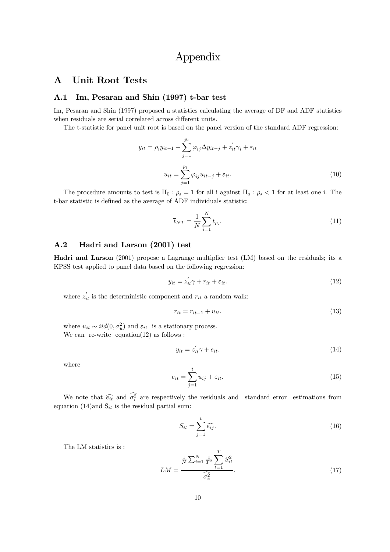# Appendix

#### **Unit Root Tests**  $\mathbf{A}$

#### Im, Pesaran and Shin (1997) t-bar test  $A.1$

Im, Pesaran and Shin (1997) proposed a statistics calculating the average of DF and ADF statistics when residuals are serial correlated across different units.

The t-statistic for panel unit root is based on the panel version of the standard ADF regression:

$$
y_{it} = \rho_i y_{it-1} + \sum_{j=1}^{p_i} \varphi_{ij} \Delta y_{it-j} + z'_{it} \gamma_i + \varepsilon_{it}
$$

$$
u_{it} = \sum_{j=1}^{p_i} \varphi_{ij} u_{it-j} + \varepsilon_{it}.
$$

$$
(10)
$$

The procedure amounts to test is  $H_0: \rho_i = 1$  for all i against  $H_a: \rho_i < 1$  for at least one i. The t-bar statistic is defined as the average of ADF individuals statistic:

$$
\bar{t}_{NT} = \frac{1}{N} \sum_{i=1}^{N} t_{\rho_i}.
$$
\n(11)

#### Hadri and Larson (2001) test  $A.2$

**Hadri and Larson** (2001) propose a Lagrange multiplier test (LM) based on the residuals; its a KPSS test applied to panel data based on the following regression:

$$
y_{it} = z_{it}'\gamma + r_{it} + \varepsilon_{it}.\tag{12}
$$

where  $z'_{it}$  is the deterministic component and  $r_{it}$  a random walk:

$$
r_{it} = r_{it-1} + u_{it}.\tag{13}
$$

where  $u_{it} \sim iid(0, \sigma_u^2)$  and  $\varepsilon_{it}$  is a stationary process. We can re-write equation  $(12)$  as follows:

$$
y_{it} = z_{it}^{\prime} \gamma + e_{it}.\tag{14}
$$

where

$$
e_{it} = \sum_{j=1}^{t} u_{ij} + \varepsilon_{it}.
$$
\n(15)

We note that  $\widehat{e_{it}}$  and  $\widehat{\sigma_e^2}$  are respectively the residuals and standard error estimations from equation (14) and  $S_{it}$  is the residual partial sum:

$$
S_{it} = \sum_{j=1}^{t} \widehat{e_{ij}}.\tag{16}
$$

The LM statistics is:

$$
LM = \frac{\frac{1}{N} \sum_{i=1}^{N} \frac{1}{T^2} \sum_{t=1}^{T} S_{it}^2}{\widehat{\sigma}_e^2}.
$$
 (17)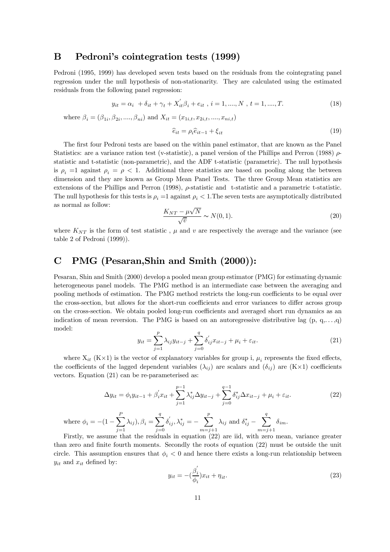#### B Pedroni's cointegration tests (1999)

Pedroni (1995, 1999) has developed seven tests based on the residuals from the cointegrating panel regression under the null hypothesis of non-stationarity. They are calculated using the estimated residuals from the following panel regression:

$$
y_{it} = \alpha_i + \delta_{it} + \gamma_t + X_{it}'\beta_i + e_{it}, i = 1, ..., N, t = 1, ..., T.
$$
 (18)

where  $\beta_i = (\beta_{1i}, \beta_{2i}, ..., \beta_{ni})$  and  $X_{it} = (x_{1i,t}, x_{2i,t}, ..., x_{ni,t})$ 

$$
\widehat{e}_{it} = \rho_i \widehat{e}_{it-1} + \xi_{it} \tag{19}
$$

The first four Pedroni tests are based on the within panel estimator, that are known as the Panel Statistics: are a variance ration test (v-statistic), a panel version of the Phillips and Perron (1988)  $\rho$ statistic and t-statistic (non-parametric), and the ADF t-statistic (parametric). The null hypothesis is  $\rho_i = 1$  against  $\rho_i = \rho < 1$ . Additional three statistics are based on pooling along the between dimension and they are known as Group Mean Panel Tests. The three Group Mean statistics are extensions of the Phillips and Perron (1998),  $\rho$ -statistic and t-statistic and a parametric t-statistic. The null hypothesis for this tests is  $\rho_i = 1$  against  $\rho_i < 1$ . The seven tests are asymptotically distributed as normal as follow:

$$
\frac{K_{NT} - \mu\sqrt{N}}{\sqrt{v}} \sim N(0, 1). \tag{20}
$$

where  $K_{NT}$  is the form of test statistic,  $\mu$  and v are respectively the average and the variance (see table 2 of Pedroni  $(1999)$ ).

#### $\mathbf C$ PMG (Pesaran, Shin and Smith (2000)):

Pesaran, Shin and Smith (2000) develop a pooled mean group estimator (PMG) for estimating dynamic heterogeneous panel models. The PMG method is an intermediate case between the averaging and pooling methods of estimation. The PMG method restricts the long-run coefficients to be equal over the cross-section, but allows for the short-run coefficients and error variances to differ across group on the cross-section. We obtain pooled long-run coefficients and averaged short run dynamics as an indication of mean reversion. The PMG is based on an autoregressive distributive lag  $(p, q, \ldots, q)$ model:

$$
y_{it} = \sum_{j=1}^{p} \lambda_{ij} y_{it-j} + \sum_{j=0}^{q} \delta'_{ij} x_{it-j} + \mu_i + \varepsilon_{it}.
$$
 (21)

where  $X_{it}$  (K $\times$ 1) is the vector of explanatory variables for group i,  $\mu_i$  represents the fixed effects, the coefficients of the lagged dependent variables  $(\lambda_{ij})$  are scalars and  $(\delta_{ij})$  are  $(K \times 1)$  coefficients vectors. Equation  $(21)$  can be re-parameterised as:

$$
\Delta y_{it} = \phi_i y_{it-1} + \beta_i' x_{it} + \sum_{j=1}^{p-1} \lambda_{ij}^* \Delta y_{it-j} + \sum_{j=0}^{q-1} \delta_{ij}^* \Delta x_{it-j} + \mu_i + \varepsilon_{it}.
$$
 (22)

where 
$$
\phi_i = -(1 - \sum_{j=1}^P \lambda_{ij}), \beta_i = \sum_{j=0}^q \delta'_{ij}, \lambda_{ij}^* = -\sum_{m=j+1}^p \lambda_{ij}
$$
 and  $\delta_{ij}^* - \sum_{m=j+1}^q \delta_{im}$ .  
Firstly, we assume that the residuals in equation (22) are iid with zero mean.

Firstly, we assume that the residuals in equation (22) are iid, with zero mean, variance greater than zero and finite fourth moments. Secondly the roots of equation (22) must be outside the unit circle. This assumption ensures that  $\phi_i < 0$  and hence there exists a long-run relationship between  $y_{it}$  and  $x_{it}$  defined by:

$$
y_{it} = -\left(\frac{\beta_i'}{\phi_i}\right)x_{it} + \eta_{it}.\tag{23}
$$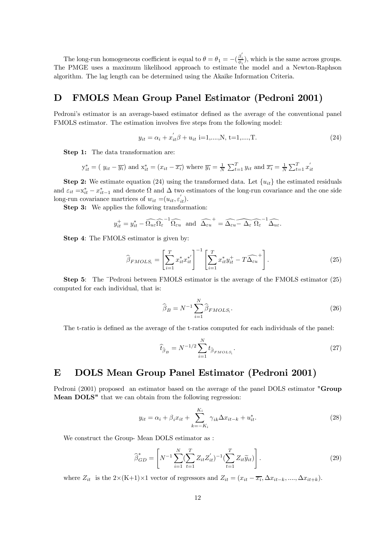The long-run homogeneous coefficient is equal to  $\theta = \theta_1 = -(\frac{\beta'_i}{\phi})$ , which is the same across groups. The PMGE uses a maximum likelihood approach to estimate the model and a Newton-Raphson algorithm. The lag length can be determined using the Akaike Information Criteria.

#### **FMOLS Mean Group Panel Estimator (Pedroni 2001)** D

Pedroni's estimator is an average-based estimator defined as the average of the conventional panel FMOLS estimator. The estimation involves five steps from the following model:

$$
y_{it} = \alpha_i + x_{it}^{\prime} \beta + u_{it} \text{ i=1,...,N, t=1,...,T.}
$$
 (24)

**Step 1:** The data transformation are:

$$
y_{it}^* = (y_{it} - \overline{y_i})
$$
 and  $x_{it}^* = (x_{it} - \overline{x_i})$  where  $\overline{y_i} = \frac{1}{N} \sum_{t=1}^T y_{it}$  and  $\overline{x_i} = \frac{1}{N} \sum_{t=1}^T x_{it}^{'}$ 

**Step 2:** We estimate equation (24) using the transformed data. Let  $\{u_{it}\}\$ the estimated residuals and  $\varepsilon_{it} = x_{it}^* - x_{it-1}^*$  and denote  $\Omega$  and  $\Delta$  two estimators of the long-run covariance and the one side long-run covariance martrices of  $w_{it} = (u_{it}, \varepsilon'_{it}).$ 

**Step 3:** We applies the following transformation:

$$
y_{it}^+ = y_{it}^* - \widehat{\Omega_{ue} \Omega_{\varepsilon}}^{-1} \widehat{\Omega_{eu}}
$$
 and  $\widehat{\Delta_{eu}}^{-+} = \widehat{\Delta_{eu} - \Delta_{\varepsilon} \Omega_{\varepsilon}}^{-1} \widehat{\Delta_{ue}}$ .

**Step 4:** The FMOLS estimator is given by:

$$
\widehat{\beta}_{FMOLS_i} = \left[\sum_{i=1}^T x_{it}^* x_{it}^{*'}\right]^{-1} \left[\sum_{i=1}^T x_{it}^* y_{it}^+ - T\widehat{\Delta_{\varepsilon u}}^+\right].\tag{25}
$$

**Step 5:** The "Pedroni between FMOLS estimator is the average of the FMOLS estimator (25) computed for each individual, that is:

$$
\widehat{\beta}_B = N^{-1} \sum_{i=1}^N \widehat{\beta}_{FMOLS_i}.
$$
\n(26)

The t-ratio is defined as the average of the t-ratios computed for each individuals of the panel:

$$
\widehat{t}_{\widehat{\beta}_B} = N^{-1/2} \sum_{i=1}^N t_{\widehat{\beta}_{FMOLS_i}}.
$$
\n(27)

#### DOLS Mean Group Panel Estimator (Pedroni 2001) E

Pedroni (2001) proposed an estimator based on the average of the panel DOLS estimator "Group" Mean DOLS" that we can obtain from the following regression:

$$
y_{it} = \alpha_i + \beta_i x_{it} + \sum_{k=-K_i}^{K_i} \gamma_{ik} \Delta x_{it-k} + u_{it}^*.
$$
 (28)

We construct the Group-Mean DOLS estimator as :

$$
\widehat{\beta}_{GD}^* = \left[ N^{-1} \sum_{i=1}^N (\sum_{t=1}^T Z_{it} Z_{it}')^{-1} (\sum_{t=1}^T Z_{it} \widetilde{y}_{it}) \right].
$$
\n(29)

where  $Z_{it}$  is the  $2\times (K+1)\times 1$  vector of regressors and  $Z_{it} = (x_{it} - \overline{x_i}, \Delta x_{it-k}, \ldots, \Delta x_{it+k}).$